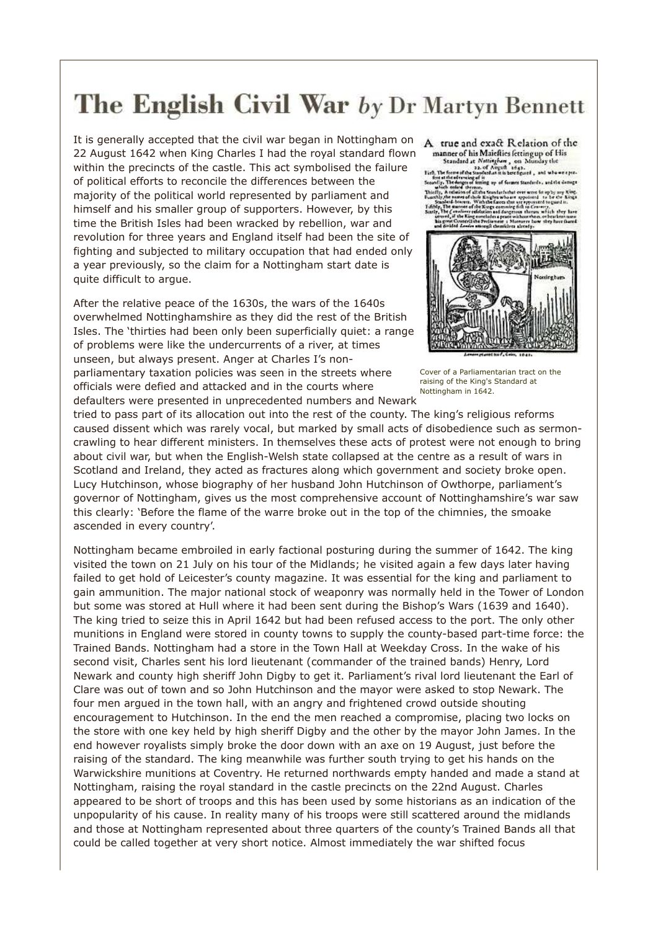## The English Civil War by Dr Martyn Bennett

It is generally accepted that the civil war began in Nottingham on 22 August 1642 when King Charles I had the royal standard flown within the precincts of the castle. This act symbolised the failure of political efforts to reconcile the differences between the majority of the political world represented by parliament and himself and his smaller group of supporters. However, by this time the British Isles had been wracked by rebellion, war and revolution for three years and England itself had been the site of fighting and subjected to military occupation that had ended only a year previously, so the claim for a Nottingham start date is quite difficult to argue.

After the relative peace of the 1630s, the wars of the 1640s overwhelmed Nottinghamshire as they did the rest of the British Isles. The 'thirties had been only been superficially quiet: a range of problems were like the undercurrents of a river, at times unseen, but always present. Anger at Charles I's nonparliamentary taxation policies was seen in the streets where officials were defied and attacked and in the courts where defaulters were presented in unprecedented numbers and Newark

A true and exact Relation of the manner of his Maiefties fetting up of His

manner of his Matellies fetting up of His<br>
Standard at Metinglane, on Munday the<br>
Historical Metinglane and Apple 1643.<br>
Historical Methods in the contrast the second contrast of the contrast<br>
Standard Hether contrast are

ta that are appoint<br>masker folk on Cer en wlich stey tan



Cover of a Parliamentarian tract on the raising of the King's Standard at Nottingham in 1642.

tried to pass part of its allocation out into the rest of the county. The king's religious reforms caused dissent which was rarely vocal, but marked by small acts of disobedience such as sermoncrawling to hear different ministers. In themselves these acts of protest were not enough to bring about civil war, but when the English-Welsh state collapsed at the centre as a result of wars in Scotland and Ireland, they acted as fractures along which government and society broke open. Lucy Hutchinson, whose biography of her husband John Hutchinson of Owthorpe, parliament's governor of Nottingham, gives us the most comprehensive account of Nottinghamshire's war saw this clearly: 'Before the flame of the warre broke out in the top of the chimnies, the smoake ascended in every country'.

Nottingham became embroiled in early factional posturing during the summer of 1642. The king visited the town on 21 July on his tour of the Midlands; he visited again a few days later having failed to get hold of Leicester's county magazine. It was essential for the king and parliament to gain ammunition. The major national stock of weaponry was normally held in the Tower of London but some was stored at Hull where it had been sent during the Bishop's Wars (1639 and 1640). The king tried to seize this in April 1642 but had been refused access to the port. The only other munitions in England were stored in county towns to supply the county-based part-time force: the Trained Bands. Nottingham had a store in the Town Hall at Weekday Cross. In the wake of his second visit, Charles sent his lord lieutenant (commander of the trained bands) Henry, Lord Newark and county high sheriff John Digby to get it. Parliament's rival lord lieutenant the Earl of Clare was out of town and so John Hutchinson and the mayor were asked to stop Newark. The four men argued in the town hall, with an angry and frightened crowd outside shouting encouragement to Hutchinson. In the end the men reached a compromise, placing two locks on the store with one key held by high sheriff Digby and the other by the mayor John James. In the end however royalists simply broke the door down with an axe on 19 August, just before the raising of the standard. The king meanwhile was further south trying to get his hands on the Warwickshire munitions at Coventry. He returned northwards empty handed and made a stand at Nottingham, raising the royal standard in the castle precincts on the 22nd August. Charles appeared to be short of troops and this has been used by some historians as an indication of the unpopularity of his cause. In reality many of his troops were still scattered around the midlands and those at Nottingham represented about three quarters of the county's Trained Bands all that could be called together at very short notice. Almost immediately the war shifted focus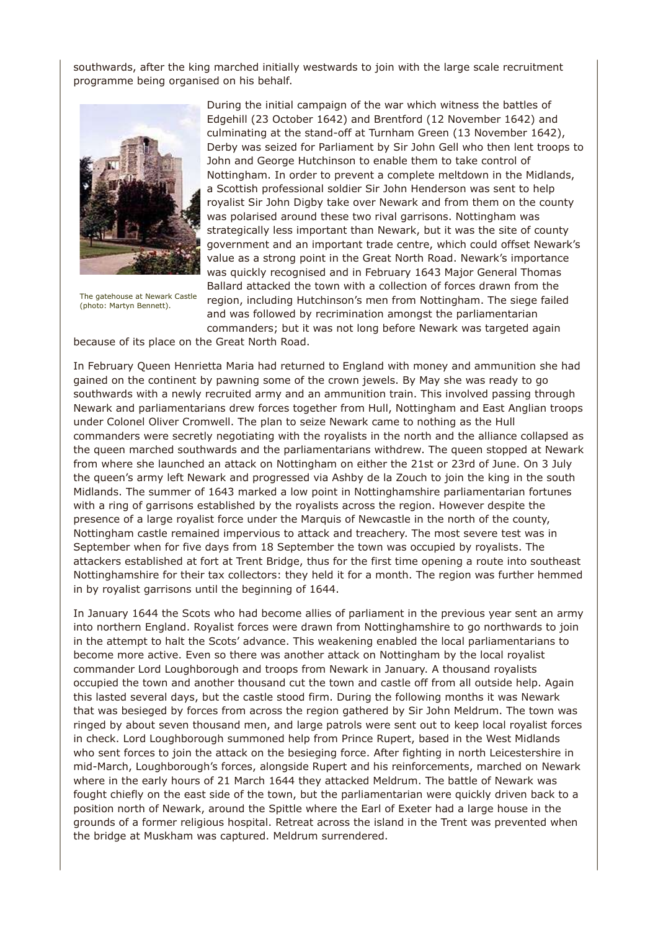southwards, after the king marched initially westwards to join with the large scale recruitment programme being organised on his behalf.



The gatehouse at Newark Castle (photo: Martyn Bennett).

During the initial campaign of the war which witness the battles of Edgehill (23 October 1642) and Brentford (12 November 1642) and culminating at the stand-off at Turnham Green (13 November 1642), Derby was seized for Parliament by Sir John Gell who then lent troops to John and George Hutchinson to enable them to take control of Nottingham. In order to prevent a complete meltdown in the Midlands, a Scottish professional soldier Sir John Henderson was sent to help royalist Sir John Digby take over Newark and from them on the county was polarised around these two rival garrisons. Nottingham was strategically less important than Newark, but it was the site of county government and an important trade centre, which could offset Newark's value as a strong point in the Great North Road. Newark's importance was quickly recognised and in February 1643 Major General Thomas Ballard attacked the town with a collection of forces drawn from the region, including Hutchinson's men from Nottingham. The siege failed and was followed by recrimination amongst the parliamentarian

commanders; but it was not long before Newark was targeted again because of its place on the Great North Road.

In February Queen Henrietta Maria had returned to England with money and ammunition she had gained on the continent by pawning some of the crown jewels. By May she was ready to go southwards with a newly recruited army and an ammunition train. This involved passing through Newark and parliamentarians drew forces together from Hull, Nottingham and East Anglian troops under Colonel Oliver Cromwell. The plan to seize Newark came to nothing as the Hull commanders were secretly negotiating with the royalists in the north and the alliance collapsed as the queen marched southwards and the parliamentarians withdrew. The queen stopped at Newark from where she launched an attack on Nottingham on either the 21st or 23rd of June. On 3 July the queen's army left Newark and progressed via Ashby de la Zouch to join the king in the south Midlands. The summer of 1643 marked a low point in Nottinghamshire parliamentarian fortunes with a ring of garrisons established by the royalists across the region. However despite the presence of a large royalist force under the Marquis of Newcastle in the north of the county, Nottingham castle remained impervious to attack and treachery. The most severe test was in September when for five days from 18 September the town was occupied by royalists. The attackers established at fort at Trent Bridge, thus for the first time opening a route into southeast Nottinghamshire for their tax collectors: they held it for a month. The region was further hemmed in by royalist garrisons until the beginning of 1644.

In January 1644 the Scots who had become allies of parliament in the previous year sent an army into northern England. Royalist forces were drawn from Nottinghamshire to go northwards to join in the attempt to halt the Scots' advance. This weakening enabled the local parliamentarians to become more active. Even so there was another attack on Nottingham by the local royalist commander Lord Loughborough and troops from Newark in January. A thousand royalists occupied the town and another thousand cut the town and castle off from all outside help. Again this lasted several days, but the castle stood firm. During the following months it was Newark that was besieged by forces from across the region gathered by Sir John Meldrum. The town was ringed by about seven thousand men, and large patrols were sent out to keep local royalist forces in check. Lord Loughborough summoned help from Prince Rupert, based in the West Midlands who sent forces to join the attack on the besieging force. After fighting in north Leicestershire in mid-March, Loughborough's forces, alongside Rupert and his reinforcements, marched on Newark where in the early hours of 21 March 1644 they attacked Meldrum. The battle of Newark was fought chiefly on the east side of the town, but the parliamentarian were quickly driven back to a position north of Newark, around the Spittle where the Earl of Exeter had a large house in the grounds of a former religious hospital. Retreat across the island in the Trent was prevented when the bridge at Muskham was captured. Meldrum surrendered.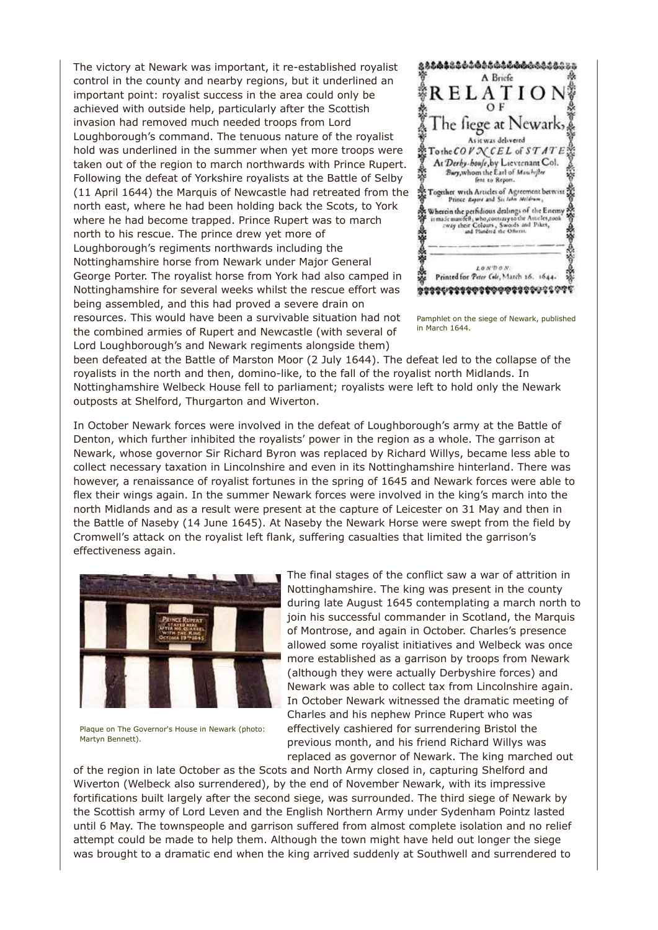The victory at Newark was important, it re-established royalist control in the county and nearby regions, but it underlined an important point: royalist success in the area could only be achieved with outside help, particularly after the Scottish invasion had removed much needed troops from Lord Loughborough's command. The tenuous nature of the royalist hold was underlined in the summer when yet more troops were taken out of the region to march northwards with Prince Rupert. Following the defeat of Yorkshire royalists at the Battle of Selby (11 April 1644) the Marquis of Newcastle had retreated from the north east, where he had been holding back the Scots, to York where he had become trapped. Prince Rupert was to march north to his rescue. The prince drew yet more of Loughborough's regiments northwards including the Nottinghamshire horse from Newark under Major General George Porter. The royalist horse from York had also camped in Nottinghamshire for several weeks whilst the rescue effort was being assembled, and this had proved a severe drain on resources. This would have been a survivable situation had not the combined armies of Rupert and Newcastle (with several of

Lord Loughborough's and Newark regiments alongside them)



Pamphlet on the siege of Newark, published in March 1644.

been defeated at the Battle of Marston Moor (2 July 1644). The defeat led to the collapse of the royalists in the north and then, domino-like, to the fall of the royalist north Midlands. In Nottinghamshire Welbeck House fell to parliament; royalists were left to hold only the Newark outposts at Shelford, Thurgarton and Wiverton.

In October Newark forces were involved in the defeat of Loughborough's army at the Battle of Denton, which further inhibited the royalists' power in the region as a whole. The garrison at Newark, whose governor Sir Richard Byron was replaced by Richard Willys, became less able to collect necessary taxation in Lincolnshire and even in its Nottinghamshire hinterland. There was however, a renaissance of royalist fortunes in the spring of 1645 and Newark forces were able to flex their wings again. In the summer Newark forces were involved in the king's march into the north Midlands and as a result were present at the capture of Leicester on 31 May and then in the Battle of Naseby (14 June 1645). At Naseby the Newark Horse were swept from the field by Cromwell's attack on the royalist left flank, suffering casualties that limited the garrison's effectiveness again.



Plaque on The Governor's House in Newark (photo: Martyn Bennett).

The final stages of the conflict saw a war of attrition in Nottinghamshire. The king was present in the county during late August 1645 contemplating a march north to join his successful commander in Scotland, the Marquis of Montrose, and again in October. Charles's presence allowed some royalist initiatives and Welbeck was once more established as a garrison by troops from Newark (although they were actually Derbyshire forces) and Newark was able to collect tax from Lincolnshire again. In October Newark witnessed the dramatic meeting of Charles and his nephew Prince Rupert who was effectively cashiered for surrendering Bristol the previous month, and his friend Richard Willys was replaced as governor of Newark. The king marched out

of the region in late October as the Scots and North Army closed in, capturing Shelford and Wiverton (Welbeck also surrendered), by the end of November Newark, with its impressive fortifications built largely after the second siege, was surrounded. The third siege of Newark by the Scottish army of Lord Leven and the English Northern Army under Sydenham Pointz lasted until 6 May. The townspeople and garrison suffered from almost complete isolation and no relief attempt could be made to help them. Although the town might have held out longer the siege was brought to a dramatic end when the king arrived suddenly at Southwell and surrendered to